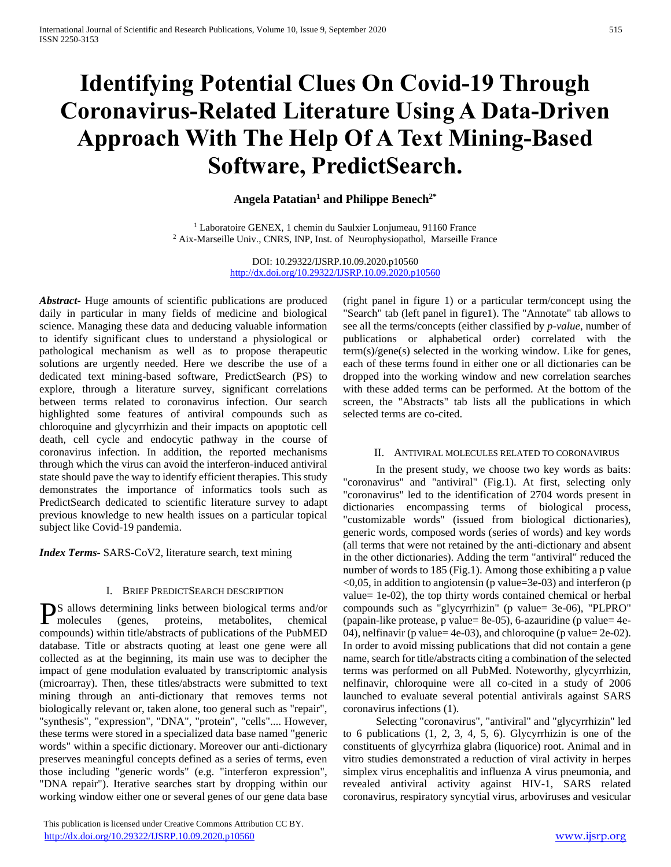# **Identifying Potential Clues On Covid-19 Through Coronavirus-Related Literature Using A Data-Driven Approach With The Help Of A Text Mining-Based Software, PredictSearch.**

# **Angela Patatian<sup>1</sup> and Philippe Benech2\***

<sup>1</sup> Laboratoire GENEX, 1 chemin du Saulxier Lonjumeau, 91160 France <sup>2</sup> Aix-Marseille Univ., CNRS, INP, Inst. of Neurophysiopathol, Marseille France

> DOI: 10.29322/IJSRP.10.09.2020.p10560 <http://dx.doi.org/10.29322/IJSRP.10.09.2020.p10560>

*Abstract***-** Huge amounts of scientific publications are produced daily in particular in many fields of medicine and biological science. Managing these data and deducing valuable information to identify significant clues to understand a physiological or pathological mechanism as well as to propose therapeutic solutions are urgently needed. Here we describe the use of a dedicated text mining-based software, PredictSearch (PS) to explore, through a literature survey, significant correlations between terms related to coronavirus infection. Our search highlighted some features of antiviral compounds such as chloroquine and glycyrrhizin and their impacts on apoptotic cell death, cell cycle and endocytic pathway in the course of coronavirus infection. In addition, the reported mechanisms through which the virus can avoid the interferon-induced antiviral state should pave the way to identify efficient therapies. This study demonstrates the importance of informatics tools such as PredictSearch dedicated to scientific literature survey to adapt previous knowledge to new health issues on a particular topical subject like Covid-19 pandemia.

*Index Terms*- SARS-CoV2, literature search, text mining

# I. BRIEF PREDICTSEARCH DESCRIPTION

S allows determining links between biological terms and/or PS allows determining links between biological terms and/or<br>molecules (genes, proteins, metabolites, chemical compounds) within title/abstracts of publications of the PubMED database. Title or abstracts quoting at least one gene were all collected as at the beginning, its main use was to decipher the impact of gene modulation evaluated by transcriptomic analysis (microarray). Then, these titles/abstracts were submitted to text mining through an anti-dictionary that removes terms not biologically relevant or, taken alone, too general such as "repair", "synthesis", "expression", "DNA", "protein", "cells".... However, these terms were stored in a specialized data base named "generic words" within a specific dictionary. Moreover our anti-dictionary preserves meaningful concepts defined as a series of terms, even those including "generic words" (e.g. "interferon expression", "DNA repair"). Iterative searches start by dropping within our working window either one or several genes of our gene data base

 This publication is licensed under Creative Commons Attribution CC BY. <http://dx.doi.org/10.29322/IJSRP.10.09.2020.p10560> [www.ijsrp.org](http://ijsrp.org/)

(right panel in figure 1) or a particular term/concept using the "Search" tab (left panel in figure1). The "Annotate" tab allows to see all the terms/concepts (either classified by *p-value*, number of publications or alphabetical order) correlated with the term(s)/gene(s) selected in the working window. Like for genes, each of these terms found in either one or all dictionaries can be dropped into the working window and new correlation searches with these added terms can be performed. At the bottom of the screen, the "Abstracts" tab lists all the publications in which selected terms are co-cited.

#### II. ANTIVIRAL MOLECULES RELATED TO CORONAVIRUS

 In the present study, we choose two key words as baits: "coronavirus" and "antiviral" (Fig.1). At first, selecting only "coronavirus" led to the identification of 2704 words present in dictionaries encompassing terms of biological process, "customizable words" (issued from biological dictionaries), generic words, composed words (series of words) and key words (all terms that were not retained by the anti-dictionary and absent in the other dictionaries). Adding the term "antiviral" reduced the number of words to 185 (Fig.1). Among those exhibiting a p value  $\leq 0.05$ , in addition to angiotensin (p value=3e-03) and interferon (p value= 1e-02), the top thirty words contained chemical or herbal compounds such as "glycyrrhizin" (p value= 3e-06), "PLPRO" (papain-like protease, p value= 8e-05), 6-azauridine (p value= 4e-04), nelfinavir (p value= 4e-03), and chloroquine (p value= 2e-02). In order to avoid missing publications that did not contain a gene name, search for title/abstracts citing a combination of the selected terms was performed on all PubMed. Noteworthy, glycyrrhizin, nelfinavir, chloroquine were all co-cited in a study of 2006 launched to evaluate several potential antivirals against SARS coronavirus infections (1).

 Selecting "coronavirus", "antiviral" and "glycyrrhizin" led to 6 publications (1, 2, 3, 4, 5, 6). Glycyrrhizin is one of the constituents of glycyrrhiza glabra (liquorice) root. Animal and in vitro studies demonstrated a reduction of viral activity in herpes simplex virus encephalitis and influenza A virus pneumonia, and revealed antiviral activity against HIV-1, SARS related coronavirus, respiratory syncytial virus, arboviruses and vesicular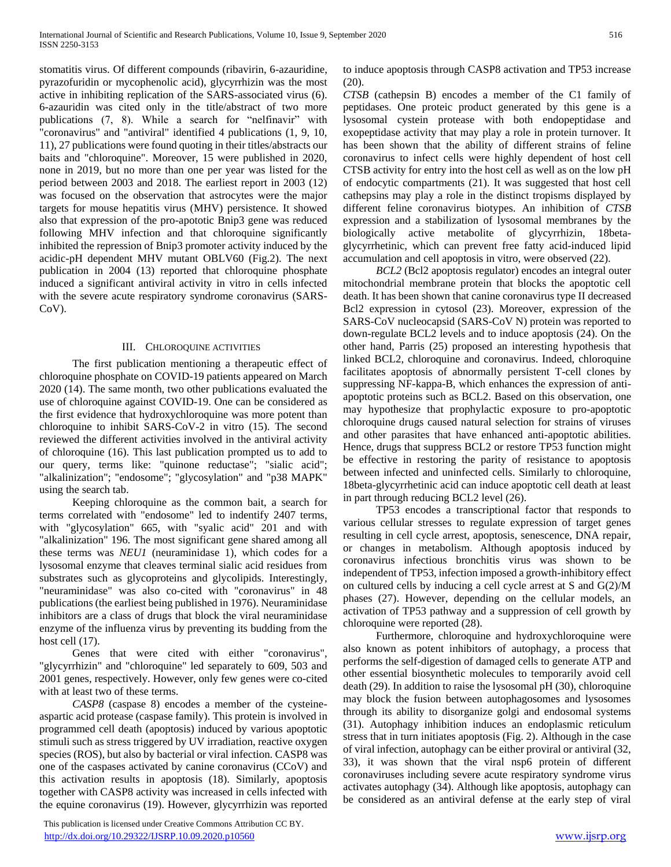stomatitis virus. Of different compounds (ribavirin, 6-azauridine, pyrazofuridin or mycophenolic acid), glycyrrhizin was the most active in inhibiting replication of the SARS-associated virus (6). 6-azauridin was cited only in the title/abstract of two more publications (7, 8). While a search for "nelfinavir" with "coronavirus" and "antiviral" identified 4 publications (1, 9, 10, 11), 27 publications were found quoting in their titles/abstracts our baits and "chloroquine". Moreover, 15 were published in 2020, none in 2019, but no more than one per year was listed for the period between 2003 and 2018. The earliest report in 2003 (12) was focused on the observation that astrocytes were the major targets for mouse hepatitis virus (MHV) persistence. It showed also that expression of the pro-apototic Bnip3 gene was reduced following MHV infection and that chloroquine significantly inhibited the repression of Bnip3 promoter activity induced by the acidic-pH dependent MHV mutant OBLV60 (Fig.2). The next publication in 2004 (13) reported that chloroquine phosphate induced a significant antiviral activity in vitro in cells infected with the severe acute respiratory syndrome coronavirus (SARS-CoV).

### III. CHLOROQUINE ACTIVITIES

 The first publication mentioning a therapeutic effect of chloroquine phosphate on COVID-19 patients appeared on March 2020 (14). The same month, two other publications evaluated the use of chloroquine against COVID-19. One can be considered as the first evidence that hydroxychloroquine was more potent than chloroquine to inhibit SARS-CoV-2 in vitro (15). The second reviewed the different activities involved in the antiviral activity of chloroquine (16). This last publication prompted us to add to our query, terms like: "quinone reductase"; "sialic acid"; "alkalinization"; "endosome"; "glycosylation" and "p38 MAPK" using the search tab.

 Keeping chloroquine as the common bait, a search for terms correlated with "endosome" led to indentify 2407 terms, with "glycosylation" 665, with "syalic acid" 201 and with "alkalinization" 196. The most significant gene shared among all these terms was *NEU1* (neuraminidase 1), which codes for a lysosomal enzyme that cleaves terminal sialic acid residues from substrates such as glycoproteins and glycolipids. Interestingly, "neuraminidase" was also co-cited with "coronavirus" in 48 publications (the earliest being published in 1976). Neuraminidase inhibitors are a class of drugs that block the viral neuraminidase enzyme of the influenza virus by preventing its budding from the host cell  $(17)$ .

 Genes that were cited with either "coronavirus", "glycyrrhizin" and "chloroquine" led separately to 609, 503 and 2001 genes, respectively. However, only few genes were co-cited with at least two of these terms.

 *CASP8* (caspase 8) encodes a member of the cysteineaspartic acid protease (caspase family). This protein is involved in programmed cell death (apoptosis) induced by various apoptotic stimuli such as stress triggered by UV irradiation, reactive oxygen species (ROS), but also by bacterial or viral infection. CASP8 was one of the caspases activated by canine coronavirus (CCoV) and this activation results in apoptosis (18). Similarly, apoptosis together with CASP8 activity was increased in cells infected with the equine coronavirus (19). However, glycyrrhizin was reported

 This publication is licensed under Creative Commons Attribution CC BY. <http://dx.doi.org/10.29322/IJSRP.10.09.2020.p10560> [www.ijsrp.org](http://ijsrp.org/)

to induce apoptosis through CASP8 activation and TP53 increase (20).

*CTSB* (cathepsin B) encodes a member of the C1 family of peptidases. One proteic product generated by this gene is a lysosomal cystein protease with both endopeptidase and exopeptidase activity that may play a role in protein turnover. It has been shown that the ability of different strains of feline coronavirus to infect cells were highly dependent of host cell CTSB activity for entry into the host cell as well as on the low pH of endocytic compartments (21). It was suggested that host cell cathepsins may play a role in the distinct tropisms displayed by different feline coronavirus biotypes. An inhibition of *CTSB* expression and a stabilization of lysosomal membranes by the biologically active metabolite of glycyrrhizin, 18betaglycyrrhetinic, which can prevent free fatty acid-induced lipid accumulation and cell apoptosis in vitro, were observed (22).

 *BCL2* (Bcl2 apoptosis regulator) encodes an integral outer mitochondrial membrane protein that blocks the apoptotic cell death. It has been shown that canine coronavirus type II decreased Bcl2 expression in cytosol (23). Moreover, expression of the SARS-CoV nucleocapsid (SARS-CoV N) protein was reported to down-regulate BCL2 levels and to induce apoptosis (24). On the other hand, Parris (25) proposed an interesting hypothesis that linked BCL2, chloroquine and coronavirus. Indeed, chloroquine facilitates apoptosis of abnormally persistent T-cell clones by suppressing NF-kappa-B, which enhances the expression of antiapoptotic proteins such as BCL2. Based on this observation, one may hypothesize that prophylactic exposure to pro-apoptotic chloroquine drugs caused natural selection for strains of viruses and other parasites that have enhanced anti-apoptotic abilities. Hence, drugs that suppress BCL2 or restore TP53 function might be effective in restoring the parity of resistance to apoptosis between infected and uninfected cells. Similarly to chloroquine, 18beta-glycyrrhetinic acid can induce apoptotic cell death at least in part through reducing BCL2 level (26).

 TP53 encodes a transcriptional factor that responds to various cellular stresses to regulate expression of target genes resulting in cell cycle arrest, apoptosis, senescence, DNA repair, or changes in metabolism. Although apoptosis induced by coronavirus infectious bronchitis virus was shown to be independent of TP53, infection imposed a growth-inhibitory effect on cultured cells by inducing a cell cycle arrest at S and G(2)/M phases (27). However, depending on the cellular models, an activation of TP53 pathway and a suppression of cell growth by chloroquine were reported (28).

 Furthermore, chloroquine and hydroxychloroquine were also known as potent inhibitors of autophagy, a process that performs the self-digestion of damaged cells to generate ATP and other essential biosynthetic molecules to temporarily avoid cell death (29). In addition to raise the lysosomal pH (30), chloroquine may block the fusion between autophagosomes and lysosomes through its ability to disorganize golgi and endosomal systems (31). Autophagy inhibition induces an endoplasmic reticulum stress that in turn initiates apoptosis (Fig. 2). Although in the case of viral infection, autophagy can be either proviral or antiviral (32, 33), it was shown that the viral nsp6 protein of different coronaviruses including severe acute respiratory syndrome virus activates autophagy (34). Although like apoptosis, autophagy can be considered as an antiviral defense at the early step of viral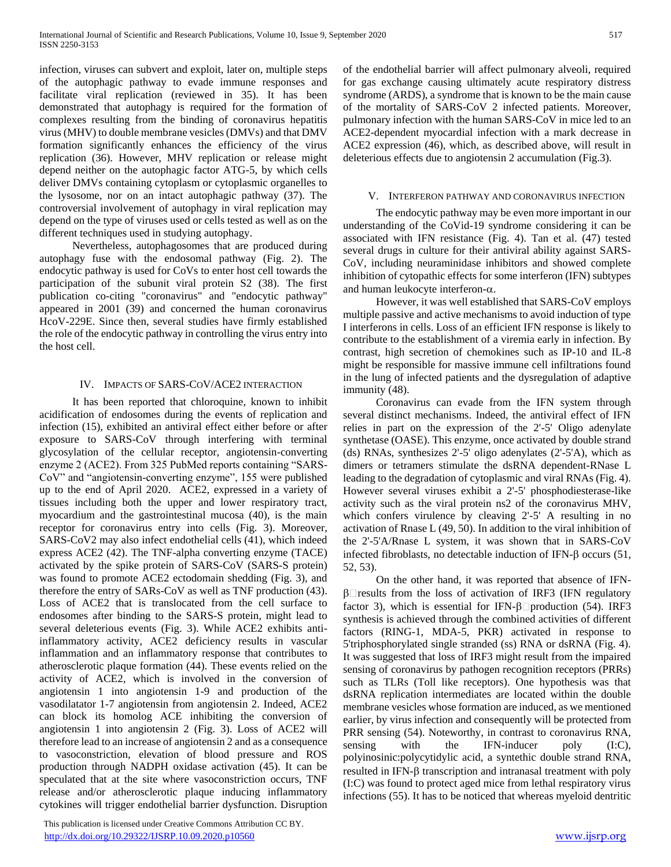infection, viruses can subvert and exploit, later on, multiple steps of the autophagic pathway to evade immune responses and facilitate viral replication (reviewed in 35). It has been demonstrated that autophagy is required for the formation of complexes resulting from the binding of coronavirus hepatitis virus (MHV) to double membrane vesicles (DMVs) and that DMV formation significantly enhances the efficiency of the virus replication (36). However, MHV replication or release might depend neither on the autophagic factor ATG-5, by which cells deliver DMVs containing cytoplasm or cytoplasmic organelles to the lysosome, nor on an intact autophagic pathway (37). The controversial involvement of autophagy in viral replication may depend on the type of viruses used or cells tested as well as on the different techniques used in studying autophagy.

 Nevertheless, autophagosomes that are produced during autophagy fuse with the endosomal pathway (Fig. 2). The endocytic pathway is used for CoVs to enter host cell towards the participation of the subunit viral protein S2 (38). The first publication co-citing "coronavirus" and "endocytic pathway" appeared in 2001 (39) and concerned the human coronavirus HcoV-229E. Since then, several studies have firmly established the role of the endocytic pathway in controlling the virus entry into the host cell.

## IV. IMPACTS OF SARS-COV/ACE2 INTERACTION

 It has been reported that chloroquine, known to inhibit acidification of endosomes during the events of replication and infection (15), exhibited an antiviral effect either before or after exposure to SARS-CoV through interfering with terminal glycosylation of the cellular receptor, angiotensin-converting enzyme 2 (ACE2). From 325 PubMed reports containing "SARS-CoV" and "angiotensin-converting enzyme", 155 were published up to the end of April 2020. ACE2, expressed in a variety of tissues including both the upper and lower respiratory tract, myocardium and the gastrointestinal mucosa (40), is the main receptor for coronavirus entry into cells (Fig. 3). Moreover, SARS-CoV2 may also infect endothelial cells (41), which indeed express ACE2 (42). The TNF-alpha converting enzyme (TACE) activated by the spike protein of SARS-CoV (SARS-S protein) was found to promote ACE2 ectodomain shedding (Fig. 3), and therefore the entry of SARs-CoV as well as TNF production (43). Loss of ACE2 that is translocated from the cell surface to endosomes after binding to the SARS-S protein, might lead to several deleterious events (Fig. 3). While ACE2 exhibits antiinflammatory activity, ACE2 deficiency results in vascular inflammation and an inflammatory response that contributes to atherosclerotic plaque formation (44). These events relied on the activity of ACE2, which is involved in the conversion of angiotensin 1 into angiotensin 1-9 and production of the vasodilatator 1-7 angiotensin from angiotensin 2. Indeed, ACE2 can block its homolog ACE inhibiting the conversion of angiotensin 1 into angiotensin 2 (Fig. 3). Loss of ACE2 will therefore lead to an increase of angiotensin 2 and as a consequence to vasoconstriction, elevation of blood pressure and ROS production through NADPH oxidase activation (45). It can be speculated that at the site where vasoconstriction occurs, TNF release and/or atherosclerotic plaque inducing inflammatory cytokines will trigger endothelial barrier dysfunction. Disruption

 This publication is licensed under Creative Commons Attribution CC BY. http://dx.doi<u>.org/10.29322/IJSRP.10.09.2020.p10560</u> [www.ijsrp.org](http://ijsrp.org/)

of the endothelial barrier will affect pulmonary alveoli, required for gas exchange causing ultimately acute respiratory distress syndrome (ARDS), a syndrome that is known to be the main cause of the mortality of SARS-CoV 2 infected patients. Moreover, pulmonary infection with the human SARS-CoV in mice led to an ACE2-dependent myocardial infection with a mark decrease in ACE2 expression (46), which, as described above, will result in deleterious effects due to angiotensin 2 accumulation (Fig.3).

## V. INTERFERON PATHWAY AND CORONAVIRUS INFECTION

 The endocytic pathway may be even more important in our understanding of the CoVid-19 syndrome considering it can be associated with IFN resistance (Fig. 4). Tan et al. (47) tested several drugs in culture for their antiviral ability against SARS-CoV, including neuraminidase inhibitors and showed complete inhibition of cytopathic effects for some interferon (IFN) subtypes and human leukocyte interferon- $\alpha$ .

 However, it was well established that SARS-CoV employs multiple passive and active mechanisms to avoid induction of type I interferons in cells. Loss of an efficient IFN response is likely to contribute to the establishment of a viremia early in infection. By contrast, high secretion of chemokines such as IP-10 and IL-8 might be responsible for massive immune cell infiltrations found in the lung of infected patients and the dysregulation of adaptive immunity (48).

 Coronavirus can evade from the IFN system through several distinct mechanisms. Indeed, the antiviral effect of IFN relies in part on the expression of the 2'-5' Oligo adenylate synthetase (OASE). This enzyme, once activated by double strand (ds) RNAs, synthesizes 2'-5' oligo adenylates (2'-5'A), which as dimers or tetramers stimulate the dsRNA dependent-RNase L leading to the degradation of cytoplasmic and viral RNAs (Fig. 4). However several viruses exhibit a 2'-5' phosphodiesterase-like activity such as the viral protein ns2 of the coronavirus MHV, which confers virulence by cleaving 2'-5' A resulting in no activation of Rnase L (49, 50). In addition to the viral inhibition of the 2'-5'A/Rnase L system, it was shown that in SARS-CoV infected fibroblasts, no detectable induction of IFN- $\beta$  occurs (51, 52, 53).

 On the other hand, it was reported that absence of IFN-  $\beta$  results from the loss of activation of IRF3 (IFN regulatory factor 3), which is essential for IFN- $\beta$  production (54). IRF3 synthesis is achieved through the combined activities of different factors (RING-1, MDA-5, PKR) activated in response to 5'triphosphorylated single stranded (ss) RNA or dsRNA (Fig. 4). It was suggested that loss of IRF3 might result from the impaired sensing of coronavirus by pathogen recognition receptors (PRRs) such as TLRs (Toll like receptors). One hypothesis was that dsRNA replication intermediates are located within the double membrane vesicles whose formation are induced, as we mentioned earlier, by virus infection and consequently will be protected from PRR sensing (54). Noteworthy, in contrast to coronavirus RNA, sensing with the IFN-inducer poly (I:C), polyinosinic:polycytidylic acid, a syntethic double strand RNA,  $resulted$  in IFN- $\beta$  transcription and intranasal treatment with poly (I:C) was found to protect aged mice from lethal respiratory virus infections (55). It has to be noticed that whereas myeloid dentritic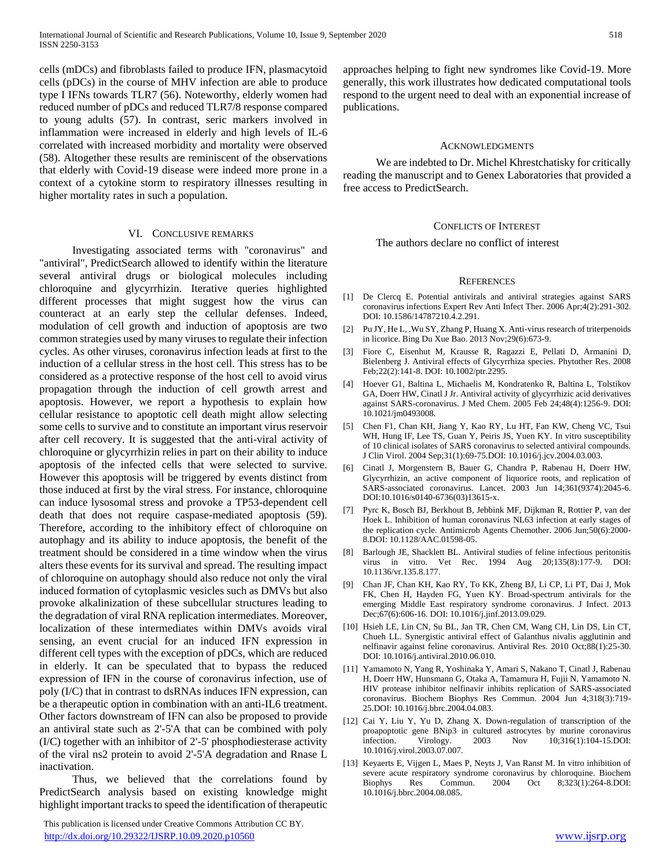cells (mDCs) and fibroblasts failed to produce IFN, plasmacytoid cells (pDCs) in the course of MHV infection are able to produce type I IFNs towards TLR7 (56). Noteworthy, elderly women had reduced number of pDCs and reduced TLR7/8 response compared to young adults (57). In contrast, seric markers involved in inflammation were increased in elderly and high levels of IL-6 correlated with increased morbidity and mortality were observed (58). Altogether these results are reminiscent of the observations that elderly with Covid-19 disease were indeed more prone in a context of a cytokine storm to respiratory illnesses resulting in higher mortality rates in such a population.

#### VI. CONCLUSIVE REMARKS

 Investigating associated terms with "coronavirus" and "antiviral", PredictSearch allowed to identify within the literature several antiviral drugs or biological molecules including chloroquine and glycyrrhizin. Iterative queries highlighted different processes that might suggest how the virus can counteract at an early step the cellular defenses. Indeed, modulation of cell growth and induction of apoptosis are two common strategies used by many viruses to regulate their infection cycles. As other viruses, coronavirus infection leads at first to the induction of a cellular stress in the host cell. This stress has to be considered as a protective response of the host cell to avoid virus propagation through the induction of cell growth arrest and apoptosis. However, we report a hypothesis to explain how cellular resistance to apoptotic cell death might allow selecting some cells to survive and to constitute an important virus reservoir after cell recovery. It is suggested that the anti-viral activity of chloroquine or glycyrrhizin relies in part on their ability to induce apoptosis of the infected cells that were selected to survive. However this apoptosis will be triggered by events distinct from those induced at first by the viral stress. For instance, chloroquine can induce lysosomal stress and provoke a TP53-dependent cell death that does not require caspase-mediated apoptosis (59). Therefore, according to the inhibitory effect of chloroquine on autophagy and its ability to induce apoptosis, the benefit of the treatment should be considered in a time window when the virus alters these events for its survival and spread. The resulting impact of chloroquine on autophagy should also reduce not only the viral induced formation of cytoplasmic vesicles such as DMVs but also provoke alkalinization of these subcellular structures leading to the degradation of viral RNA replication intermediates. Moreover, localization of these intermediates within DMVs avoids viral sensing, an event crucial for an induced IFN expression in different cell types with the exception of pDCs, which are reduced in elderly. It can be speculated that to bypass the reduced expression of IFN in the course of coronavirus infection, use of poly (I/C) that in contrast to dsRNAs induces IFN expression, can be a therapeutic option in combination with an anti-IL6 treatment. Other factors downstream of IFN can also be proposed to provide an antiviral state such as 2'-5'A that can be combined with poly (I/C) together with an inhibitor of 2'-5' phosphodiesterase activity of the viral ns2 protein to avoid 2'-5'A degradation and Rnase L inactivation.

 Thus, we believed that the correlations found by PredictSearch analysis based on existing knowledge might highlight important tracks to speed the identification of therapeutic

 This publication is licensed under Creative Commons Attribution CC BY. <http://dx.doi.org/10.29322/IJSRP.10.09.2020.p10560> [www.ijsrp.org](http://ijsrp.org/)

approaches helping to fight new syndromes like Covid-19. More generally, this work illustrates how dedicated computational tools respond to the urgent need to deal with an exponential increase of publications.

#### ACKNOWLEDGMENTS

 We are indebted to Dr. Michel Khrestchatisky for critically reading the manuscript and to Genex Laboratories that provided a free access to PredictSearch.

#### CONFLICTS OF INTEREST

The authors declare no conflict of interest

#### **REFERENCES**

- [1] De Clercq E. Potential antivirals and antiviral strategies against SARS coronavirus infections Expert Rev Anti Infect Ther. 2006 Apr;4(2):291-302. DOI: 10.1586/14787210.4.2.291.
- [2] Pu JY, He L, .Wu SY, Zhang P, Huang X. Anti-virus research of triterpenoids in licorice. Bing Du Xue Bao. 2013 Nov;29(6):673-9.
- [3] Fiore C, Eisenhut M, Krausse R, Ragazzi E, Pellati D, Armanini D, Bielenberg J. Antiviral effects of Glycyrrhiza species. Phytother Res. 2008 Feb;22(2):141-8. DOI: 10.1002/ptr.2295.
- [4] Hoever G1, Baltina L, Michaelis M, Kondratenko R, Baltina L, Tolstikov GA, Doerr HW, Cinatl J Jr. Antiviral activity of glycyrrhizic acid derivatives against SARS-coronavirus. J Med Chem. 2005 Feb 24;48(4):1256-9. DOI: 10.1021/jm0493008.
- [5] Chen F1, Chan KH, Jiang Y, Kao RY, Lu HT, Fan KW, Cheng VC, Tsui WH, Hung IF, Lee TS, Guan Y, Peiris JS, Yuen KY. In vitro susceptibility of 10 clinical isolates of SARS coronavirus to selected antiviral compounds. J Clin Virol. 2004 Sep;31(1):69-75.DOI: 10.1016/j.jcv.2004.03.003.
- [6] Cinatl J, Morgenstern B, Bauer G, Chandra P, Rabenau H, Doerr HW. Glycyrrhizin, an active component of liquorice roots, and replication of SARS-associated coronavirus. Lancet. 2003 Jun 14;361(9374):2045-6. DOI:10.1016/s0140-6736(03)13615-x.
- [7] Pyrc K, Bosch BJ, Berkhout B, Jebbink MF, Dijkman R, Rottier P, van der Hoek L. Inhibition of human coronavirus NL63 infection at early stages of the replication cycle. Antimicrob Agents Chemother. 2006 Jun;50(6):2000- 8.DOI: 10.1128/AAC.01598-05.
- [8] Barlough JE, Shacklett BL. Antiviral studies of feline infectious peritonitis virus in vitro. Vet Rec. 1994 Aug 20;135(8):177-9. DOI: 10.1136/vr.135.8.177.
- [9] Chan JF, Chan KH, Kao RY, To KK, Zheng BJ, Li CP, Li PT, Dai J, Mok FK, Chen H, Hayden FG, Yuen KY. Broad-spectrum antivirals for the emerging Middle East respiratory syndrome coronavirus. J Infect. 2013 Dec;67(6):606-16. DOI: 10.1016/j.jinf.2013.09.029.
- [10] Hsieh LE, Lin CN, Su BL, Jan TR, Chen CM, Wang CH, Lin DS, Lin CT, Chueh LL. Synergistic antiviral effect of Galanthus nivalis agglutinin and nelfinavir against feline coronavirus. Antiviral Res. 2010 Oct;88(1):25-30. DOI: 10.1016/j.antiviral.2010.06.010.
- [11] Yamamoto N, Yang R, Yoshinaka Y, Amari S, Nakano T, Cinatl J, Rabenau H, Doerr HW, Hunsmann G, Otaka A, Tamamura H, Fujii N, Yamamoto N. HIV protease inhibitor nelfinavir inhibits replication of SARS-associated coronavirus. Biochem Biophys Res Commun. 2004 Jun 4;318(3):719- 25.DOI: 10.1016/j.bbrc.2004.04.083.
- [12] Cai Y, Liu Y, Yu D, Zhang X. Down-regulation of transcription of the proapoptotic gene BNip3 in cultured astrocytes by murine coronavirus infection. Virology. 2003 Nov 10;316(1):104-15.DOI: 10.1016/j.virol.2003.07.007.
- [13] Keyaerts E, Vijgen L, Maes P, Neyts J, Van Ranst M. In vitro inhibition of severe acute respiratory syndrome coronavirus by chloroquine. Biochem Biophys Res Commun. 2004 Oct 8;323(1):264-8.DOI: 10.1016/j.bbrc.2004.08.085.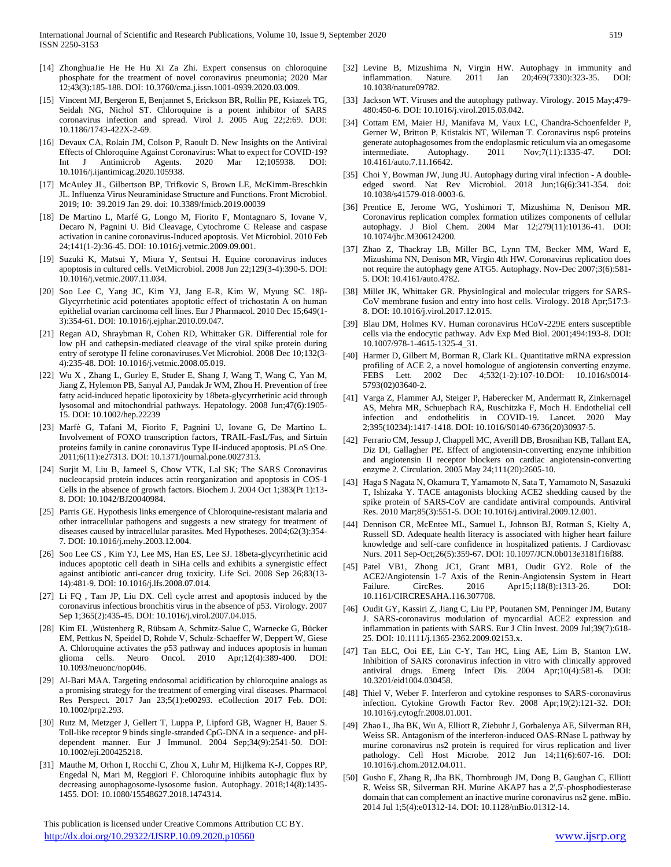- [14] ZhonghuaJie He He Hu Xi Za Zhi. Expert consensus on chloroquine phosphate for the treatment of novel coronavirus pneumonia; 2020 Mar 12;43(3):185-188. DOI: 10.3760/cma.j.issn.1001-0939.2020.03.009.
- [15] Vincent MJ, Bergeron E, Benjannet S, Erickson BR, Rollin PE, Ksiazek TG, Seidah NG, Nichol ST. Chloroquine is a potent inhibitor of SARS coronavirus infection and spread. Virol J. 2005 Aug 22;2:69. DOI: 10.1186/1743-422X-2-69.
- [16] Devaux CA, Rolain JM, Colson P, Raoult D. New Insights on the Antiviral Effects of Chloroquine Against Coronavirus: What to expect for COVID-19?<br>Int J Antimicrob Agents. 2020 Mar 12;105938. DOI: Int J Antimicrob Agents. 2020 Mar 12;105938. DOI: 10.1016/j.ijantimicag.2020.105938.
- [17] McAuley JL, Gilbertson BP, Trifkovic S, Brown LE, McKimm-Breschkin JL. Influenza Virus Neuraminidase Structure and Functions. Front Microbiol. 2019; 10: 39.2019 Jan 29. doi: 10.3389/fmicb.2019.00039
- [18] De Martino L, Marfé G, Longo M, Fiorito F, Montagnaro S, Iovane V, Decaro N, Pagnini U. Bid Cleavage, Cytochrome C Release and caspase activation in canine coronavirus-Induced apoptosis. Vet Microbiol. 2010 Feb 24;141(1-2):36-45. DOI: 10.1016/j.vetmic.2009.09.001.
- [19] Suzuki K, Matsui Y, Miura Y, Sentsui H. Equine coronavirus induces apoptosis in cultured cells. VetMicrobiol. 2008 Jun 22;129(3-4):390-5. DOI: 10.1016/j.vetmic.2007.11.034.
- [20] Soo Lee C, Yang JC, Kim YJ, Jang E-R, Kim W, Myung SC. 18β-Glycyrrhetinic acid potentiates apoptotic effect of trichostatin A on human epithelial ovarian carcinoma cell lines. Eur J Pharmacol. 2010 Dec 15;649(1- 3):354-61. DOI: 10.1016/j.ejphar.2010.09.047.
- [21] Regan AD, Shraybman R, Cohen RD, Whittaker GR. Differential role for low pH and cathepsin-mediated cleavage of the viral spike protein during entry of serotype II feline coronaviruses.Vet Microbiol. 2008 Dec 10;132(3- 4):235-48. DOI: 10.1016/j.vetmic.2008.05.019.
- [22] Wu X , Zhang L, Gurley E, Studer E, Shang J, Wang T, Wang C, Yan M, Jiang Z, Hylemon PB, Sanyal AJ, Pandak Jr WM, Zhou H. Prevention of free fatty acid-induced hepatic lipotoxicity by 18beta-glycyrrhetinic acid through lysosomal and mitochondrial pathways. Hepatology. 2008 Jun;47(6):1905- 15. DOI: 10.1002/hep.22239
- [23] Marfè G, Tafani M, Fiorito F, Pagnini U, Iovane G, De Martino L. Involvement of FOXO transcription factors, TRAIL-FasL/Fas, and Sirtuin proteins family in canine coronavirus Type II-induced apoptosis. PLoS One. 2011;6(11):e27313. DOI: 10.1371/journal.pone.0027313.
- [24] Surjit M, Liu B, Jameel S, Chow VTK, Lal SK; The SARS Coronavirus nucleocapsid protein induces actin reorganization and apoptosis in COS-1 Cells in the absence of growth factors. Biochem J. 2004 Oct 1;383(Pt 1):13- 8. DOI: 10.1042/BJ20040984.
- [25] Parris GE. Hypothesis links emergence of Chloroquine-resistant malaria and other intracellular pathogens and suggests a new strategy for treatment of diseases caused by intracellular parasites. Med Hypotheses. 2004;62(3):354- 7. DOI: 10.1016/j.mehy.2003.12.004.
- [26] Soo Lee CS , Kim YJ, Lee MS, Han ES, Lee SJ. 18beta-glycyrrhetinic acid induces apoptotic cell death in SiHa cells and exhibits a synergistic effect against antibiotic anti-cancer drug toxicity. Life Sci. 2008 Sep 26;83(13- 14):481-9. DOI: 10.1016/j.lfs.2008.07.014.
- [27] Li FQ , Tam JP, Liu DX. Cell cycle arrest and apoptosis induced by the coronavirus infectious bronchitis virus in the absence of p53. Virology. 2007 Sep 1;365(2):435-45. DOI: 10.1016/j.virol.2007.04.015.
- [28] Kim EL ,Wüstenberg R, Rübsam A, Schmitz-Salue C, Warnecke G, Bücker EM, Pettkus N, Speidel D, Rohde V, Schulz-Schaeffer W, Deppert W, Giese A. Chloroquine activates the p53 pathway and induces apoptosis in human glioma cells. Neuro Oncol. 2010 Apr;12(4):389-400. DOI: 10.1093/neuonc/nop046.
- [29] Al-Bari MAA. Targeting endosomal acidification by chloroquine analogs as a promising strategy for the treatment of emerging viral diseases. Pharmacol Res Perspect. 2017 Jan 23;5(1):e00293. eCollection 2017 Feb. DOI: 10.1002/prp2.293.
- [30] Rutz M, Metzger J, Gellert T, Luppa P, Lipford GB, Wagner H, Bauer S. Toll-like receptor 9 binds single-stranded CpG-DNA in a sequence- and pHdependent manner. Eur J Immunol. 2004 Sep;34(9):2541-50. DOI: 10.1002/eji.200425218.
- [31] Mauthe M, Orhon I, Rocchi C, Zhou X, Luhr M, Hijlkema K-J, Coppes RP, Engedal N, Mari M, Reggiori F. Chloroquine inhibits autophagic flux by decreasing autophagosome-lysosome fusion. Autophagy. 2018;14(8):1435- 1455. DOI: 10.1080/15548627.2018.1474314.

 This publication is licensed under Creative Commons Attribution CC BY. <http://dx.doi.org/10.29322/IJSRP.10.09.2020.p10560> [www.ijsrp.org](http://ijsrp.org/)

- [32] Levine B, Mizushima N, Virgin HW. Autophagy in immunity and inflammation. Nature. 2011 Jan 20;469(7330):323-35. DOI: 10.1038/nature09782.
- [33] Jackson WT. Viruses and the autophagy pathway. Virology. 2015 May;479-480:450-6. DOI: 10.1016/j.virol.2015.03.042.
- [34] Cottam EM, Maier HJ, Manifava M, Vaux LC, Chandra-Schoenfelder P, Gerner W, Britton P, Ktistakis NT, Wileman T. Coronavirus nsp6 proteins generate autophagosomes from the endoplasmic reticulum via an omegasome intermediate. Autophagy. 2011 Nov;7(11):1335-47. DOI: 10.4161/auto.7.11.16642.
- [35] Choi Y, Bowman JW, Jung JU. Autophagy during viral infection A doubleedged sword. Nat Rev Microbiol. 2018 Jun;16(6):341-354. doi: 10.1038/s41579-018-0003-6.
- [36] Prentice E, Jerome WG, Yoshimori T, Mizushima N, Denison MR. Coronavirus replication complex formation utilizes components of cellular autophagy. J Biol Chem. 2004 Mar 12;279(11):10136-41. DOI: 10.1074/jbc.M306124200.
- [37] Zhao Z, Thackray LB, Miller BC, Lynn TM, Becker MM, Ward E, Mizushima NN, Denison MR, Virgin 4th HW. Coronavirus replication does not require the autophagy gene ATG5. Autophagy. Nov-Dec 2007;3(6):581- 5. DOI: 10.4161/auto.4782.
- [38] Millet JK, Whittaker GR. Physiological and molecular triggers for SARS-CoV membrane fusion and entry into host cells. Virology. 2018 Apr;517:3- 8. DOI: 10.1016/j.virol.2017.12.015.
- [39] Blau DM, Holmes KV. Human coronavirus HCoV-229E enters susceptible cells via the endocytic pathway. Adv Exp Med Biol. 2001;494:193-8. DOI: 10.1007/978-1-4615-1325-4\_31.
- [40] Harmer D, Gilbert M, Borman R, Clark KL. Quantitative mRNA expression profiling of ACE 2, a novel homologue of angiotensin converting enzyme. FEBS Lett. 2002 Dec 4;532(1-2):107-10.DOI: 10.1016/s0014- 5793(02)03640-2.
- [41] Varga Z, Flammer AJ, Steiger P, Haberecker M, Andermatt R, Zinkernagel AS, Mehra MR, Schuepbach RA, Ruschitzka F, Moch H. Endothelial cell infection and endothelitis in COVID-19. Lancet. 2020 May 2;395(10234):1417-1418. DOI: 10.1016/S0140-6736(20)30937-5.
- [42] Ferrario CM, Jessup J, Chappell MC, Averill DB, Brosnihan KB, Tallant EA, Diz DI, Gallagher PE. Effect of angiotensin-converting enzyme inhibition and angiotensin II receptor blockers on cardiac angiotensin-converting enzyme 2. Circulation. 2005 May 24;111(20):2605-10.
- [43] Haga S Nagata N, Okamura T, Yamamoto N, Sata T, Yamamoto N, Sasazuki T, Ishizaka Y. TACE antagonists blocking ACE2 shedding caused by the spike protein of SARS-CoV are candidate antiviral compounds. Antiviral Res. 2010 Mar;85(3):551-5. DOI: 10.1016/j.antiviral.2009.12.001.
- [44] Dennison CR, McEntee ML, Samuel L, Johnson BJ, Rotman S, Kielty A, Russell SD. Adequate health literacy is associated with higher heart failure knowledge and self-care confidence in hospitalized patients. J Cardiovasc Nurs. 2011 Sep-Oct;26(5):359-67. DOI: 10.1097/JCN.0b013e3181f16f88.
- [45] Patel VB1, Zhong JC1, Grant MB1, Oudit GY2. Role of the ACE2/Angiotensin 1-7 Axis of the Renin-Angiotensin System in Heart Failure. CircRes. 2016 Apr15;118(8):1313-26. DOI: 10.1161/CIRCRESAHA.116.307708.
- [46] Oudit GY, Kassiri Z, Jiang C, Liu PP, Poutanen SM, Penninger JM, Butany J. SARS-coronavirus modulation of myocardial ACE2 expression and inflammation in patients with SARS. Eur J Clin Invest. 2009 Jul;39(7):618- 25. DOI: 10.1111/j.1365-2362.2009.02153.x.
- [47] Tan ELC, Ooi EE, Lin C-Y, Tan HC, Ling AE, Lim B, Stanton LW. Inhibition of SARS coronavirus infection in vitro with clinically approved antiviral drugs. Emerg Infect Dis. 2004 Apr;10(4):581-6. DOI: 10.3201/eid1004.030458.
- [48] Thiel V, Weber F. Interferon and cytokine responses to SARS-coronavirus infection. Cytokine Growth Factor Rev. 2008 Apr;19(2):121-32. DOI: 10.1016/j.cytogfr.2008.01.001.
- [49] Zhao L, Jha BK, Wu A, Elliott R, Ziebuhr J, Gorbalenya AE, Silverman RH, Weiss SR. Antagonism of the interferon-induced OAS-RNase L pathway by murine coronavirus ns2 protein is required for virus replication and liver pathology. Cell Host Microbe. 2012 Jun 14;11(6):607-16. DOI: 10.1016/j.chom.2012.04.011.
- [50] Gusho E, Zhang R, Jha BK, Thornbrough JM, Dong B, Gaughan C, Elliott R, Weiss SR, Silverman RH. Murine AKAP7 has a 2',5'-phosphodiesterase domain that can complement an inactive murine coronavirus ns2 gene. mBio. 2014 Jul 1;5(4):e01312-14. DOI: 10.1128/mBio.01312-14.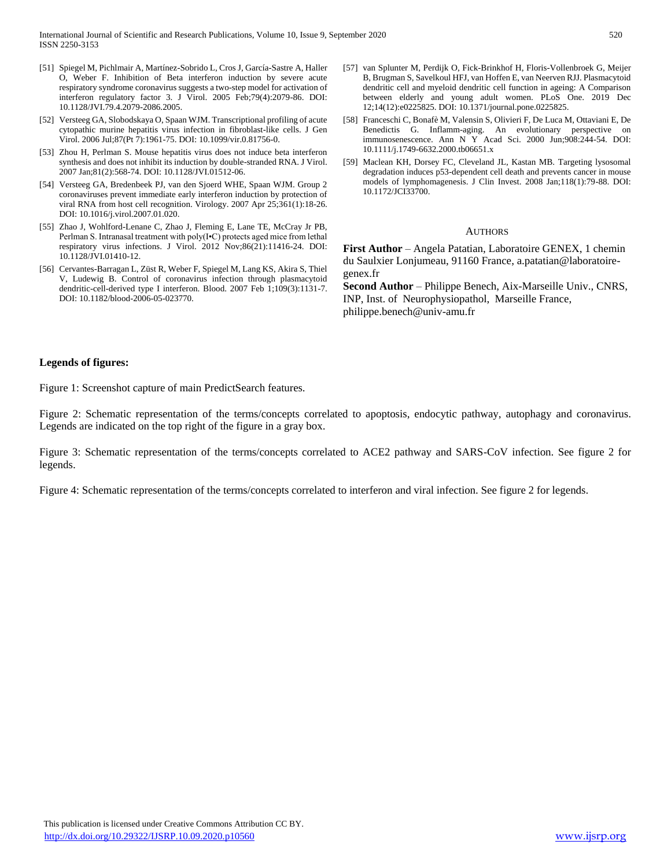- [51] Spiegel M, Pichlmair A, Martínez-Sobrido L, Cros J, García-Sastre A, Haller O, Weber F. Inhibition of Beta interferon induction by severe acute respiratory syndrome coronavirus suggests a two-step model for activation of interferon regulatory factor 3. J Virol. 2005 Feb;79(4):2079-86. DOI: 10.1128/JVI.79.4.2079-2086.2005.
- [52] Versteeg GA, Slobodskaya O, Spaan WJM. Transcriptional profiling of acute cytopathic murine hepatitis virus infection in fibroblast-like cells. J Gen Virol. 2006 Jul;87(Pt 7):1961-75. DOI: 10.1099/vir.0.81756-0.
- [53] Zhou H, Perlman S. Mouse hepatitis virus does not induce beta interferon synthesis and does not inhibit its induction by double-stranded RNA. J Virol. 2007 Jan;81(2):568-74. DOI: 10.1128/JVI.01512-06.
- [54] Versteeg GA, Bredenbeek PJ, van den Sjoerd WHE, Spaan WJM. Group 2 coronaviruses prevent immediate early interferon induction by protection of viral RNA from host cell recognition. Virology. 2007 Apr 25;361(1):18-26. DOI: 10.1016/j.virol.2007.01.020.
- [55] Zhao J, Wohlford-Lenane C, Zhao J, Fleming E, Lane TE, McCray Jr PB, Perlman S. Intranasal treatment with poly(I•C) protects aged mice from lethal respiratory virus infections. J Virol. 2012 Nov;86(21):11416-24. DOI: 10.1128/JVI.01410-12.
- [56] Cervantes-Barragan L, Züst R, Weber F, Spiegel M, Lang KS, Akira S, Thiel V, Ludewig B. Control of coronavirus infection through plasmacytoid dendritic-cell-derived type I interferon. Blood. 2007 Feb 1;109(3):1131-7. DOI: 10.1182/blood-2006-05-023770.
- [57] van Splunter M, Perdijk O, Fick-Brinkhof H, Floris-Vollenbroek G, Meijer B, Brugman S, Savelkoul HFJ, van Hoffen E, van Neerven RJJ. Plasmacytoid dendritic cell and myeloid dendritic cell function in ageing: A Comparison between elderly and young adult women. PLoS One. 2019 Dec 12;14(12):e0225825. DOI: 10.1371/journal.pone.0225825.
- [58] Franceschi C, Bonafè M, Valensin S, Olivieri F, De Luca M, Ottaviani E, De Benedictis G. Inflamm-aging. An evolutionary perspective on immunosenescence. Ann N Y Acad Sci. 2000 Jun;908:244-54. DOI: 10.1111/j.1749-6632.2000.tb06651.x
- [59] Maclean KH, Dorsey FC, Cleveland JL, Kastan MB. Targeting lysosomal degradation induces p53-dependent cell death and prevents cancer in mouse models of lymphomagenesis. J Clin Invest. 2008 Jan;118(1):79-88. DOI: 10.1172/JCI33700.

#### **AUTHORS**

**First Author** – Angela Patatian, Laboratoire GENEX, 1 chemin du Saulxier Lonjumeau, 91160 France, a.patatian@laboratoiregenex.fr

**Second Author** – Philippe Benech, Aix-Marseille Univ., CNRS, INP, Inst. of Neurophysiopathol, Marseille France, philippe.benech@univ-amu.fr

## **Legends of figures:**

Figure 1: Screenshot capture of main PredictSearch features.

Figure 2: Schematic representation of the terms/concepts correlated to apoptosis, endocytic pathway, autophagy and coronavirus. Legends are indicated on the top right of the figure in a gray box.

Figure 3: Schematic representation of the terms/concepts correlated to ACE2 pathway and SARS-CoV infection. See figure 2 for legends.

Figure 4: Schematic representation of the terms/concepts correlated to interferon and viral infection. See figure 2 for legends.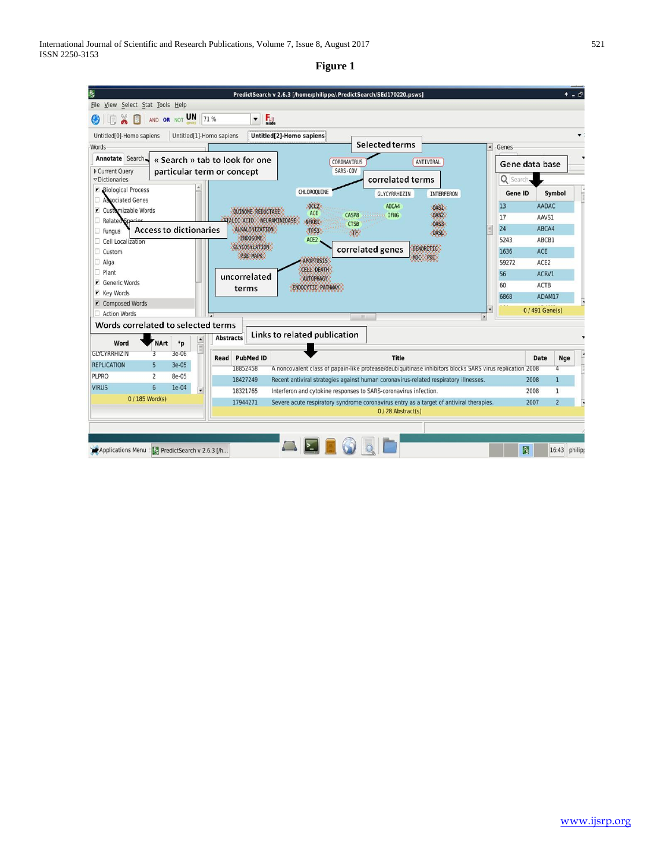# **Figure 1**

|                                                                                                             |                                     |                                |                                                        | PredictSearch v 2.6.3 [/home/philippe/.PredictSearch/SEd170220.psws]                                     | $+ -$              |  |  |
|-------------------------------------------------------------------------------------------------------------|-------------------------------------|--------------------------------|--------------------------------------------------------|----------------------------------------------------------------------------------------------------------|--------------------|--|--|
| Select Stat Tools Help<br>File View                                                                         |                                     |                                |                                                        |                                                                                                          |                    |  |  |
| 圓<br>AND OR NOT                                                                                             | UN 71 %                             |                                | ▼                                                      | $F_{\text{mode}}$                                                                                        |                    |  |  |
| Untitled[0]-Homo sapiens                                                                                    | Untitled[1]-Homo sapiens            |                                |                                                        | Untitled[2]-Homo sapiens                                                                                 |                    |  |  |
| Words                                                                                                       |                                     |                                |                                                        | <b>Selected terms</b><br>Genes                                                                           |                    |  |  |
| Annotate Search                                                                                             |                                     | « Search » tab to look for one | CORONAVIRUS<br>ANTIVIRAL                               | Gene data base                                                                                           |                    |  |  |
| <b>D</b> Current Ouery<br><b>v</b> Dictionaries                                                             | particular term or concept          |                                |                                                        | SARS-COV<br>correlated terms                                                                             | Q Search           |  |  |
| v<br><b>Biological Process</b>                                                                              |                                     |                                |                                                        | CHLOROQUINE<br>Gene ID<br>GLYCYRRHIZIN<br>INTERFERON                                                     | Symbol             |  |  |
| <b>Sociated Genes</b>                                                                                       |                                     |                                |                                                        | <b>BCL2</b><br>13<br>ABCA4<br>OASI                                                                       | AADAC              |  |  |
| Customizable Words<br>v                                                                                     |                                     |                                | <b>QUINONE REDUCTASE</b>                               | ACE<br>CASP8<br><b>IFNG</b><br>0AS2<br>17                                                                | AAVS1              |  |  |
| STALIC ACID NEURAMINIDASE<br>Ω<br><b>Related Species</b><br><b>Access to dictionaries</b><br>ALKALINIZATION |                                     |                                |                                                        | NEKBI<br><b>CTSB</b><br>0453<br>24                                                                       | ABCA4              |  |  |
| Fungus<br>Cell Localization                                                                                 |                                     | ENDOSOME                       | 4853<br><b>SOR</b><br>OASL<br>5243<br>ACE <sub>2</sub> | ABCB1                                                                                                    |                    |  |  |
| Custom<br>n                                                                                                 |                                     | GLYCOSYLATION                  | DENDRITIC<br>correlated genes<br>1636                  | <b>ACE</b>                                                                                               |                    |  |  |
| $\Box$ Alga                                                                                                 |                                     |                                | P38 MAPK                                               | MOC PDC<br><b>APOPTOSIS</b><br>59272                                                                     | ACE2               |  |  |
| Plant<br>п.                                                                                                 |                                     |                                |                                                        | <b>CELL DEATH</b><br>56                                                                                  | ACRV1              |  |  |
| Generic Words<br>v                                                                                          |                                     | uncorrelated                   | <b>AUTOPHAGY</b><br>60<br>ENDOCYTIC PATHMAY            | ACTB                                                                                                     |                    |  |  |
| <b>Y</b> Key Words                                                                                          |                                     |                                | terms                                                  | 6868                                                                                                     | ADAM17             |  |  |
| Composed Words                                                                                              |                                     |                                |                                                        |                                                                                                          | 0/491 Gene(s)      |  |  |
| <b>Action Words</b>                                                                                         |                                     |                                |                                                        | $-1111$<br>$\cdot$                                                                                       |                    |  |  |
| Words correlated to selected terms                                                                          |                                     |                                |                                                        |                                                                                                          |                    |  |  |
| <b>NArt</b><br>Word                                                                                         | $*_{p}$                             | <b>Abstracts</b>               |                                                        | Links to related publication                                                                             |                    |  |  |
| <b>GLYCYRRHIZIN</b><br>3                                                                                    | 3e-06                               | Read                           | <b>PubMed ID</b>                                       | <b>Title</b>                                                                                             | Date<br><b>Nge</b> |  |  |
| <b>REPLICATION</b><br>5                                                                                     | $3e-05$                             |                                | 18852458                                               | A noncovalent class of papain-like protease/deubiquitinase inhibitors blocks SARS virus replication 2008 | 4                  |  |  |
| <b>PLPRO</b><br>$\overline{2}$                                                                              | 8e-05                               |                                | 18427249                                               | 2008<br>Recent antiviral strategies against human coronavirus-related respiratory illnesses.             | 1                  |  |  |
| <b>VIRUS</b><br>6                                                                                           | $1e-04$<br>$\overline{\phantom{0}}$ |                                | 18321765                                               | Interferon and cytokine responses to SARS-coronavirus infection.<br>2008                                 | 1                  |  |  |
| 0 / 185 Word(s)                                                                                             |                                     |                                | 17944271                                               | 2007<br>Severe acute respiratory syndrome coronavirus entry as a target of antiviral therapies.          | $\overline{2}$     |  |  |
|                                                                                                             |                                     |                                |                                                        | 0/28 Abstract(s)                                                                                         |                    |  |  |
|                                                                                                             |                                     |                                |                                                        |                                                                                                          |                    |  |  |
|                                                                                                             |                                     |                                |                                                        |                                                                                                          |                    |  |  |
| Applications Menu PredictSearch v 2.6.3 [/h                                                                 |                                     |                                |                                                        | $\mathbf{R}$                                                                                             | 16:43 philip       |  |  |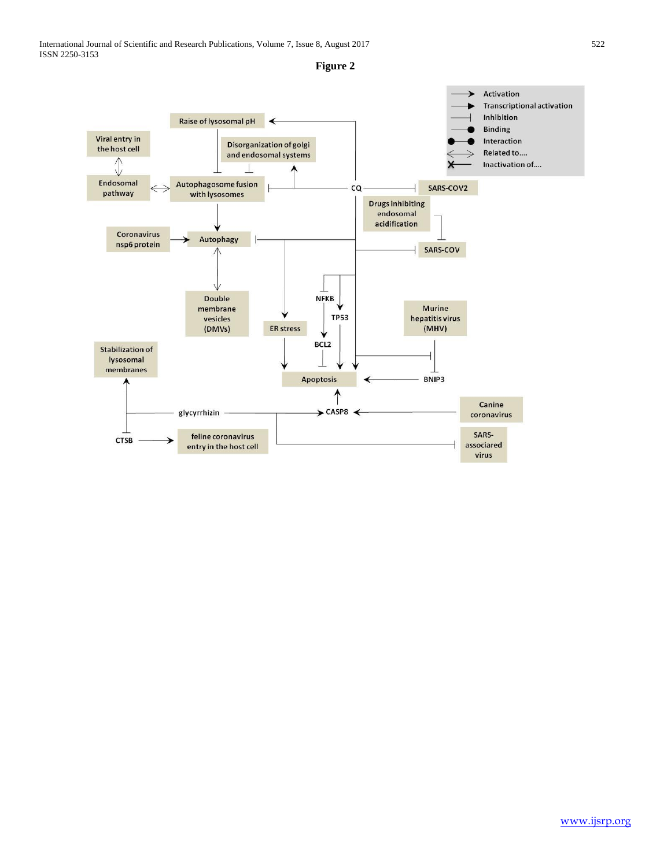

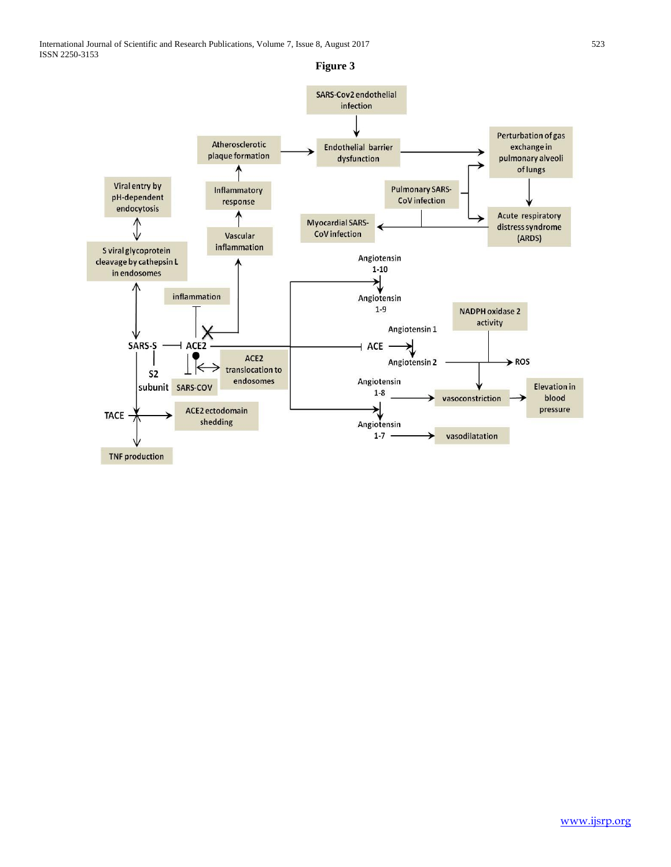

**Figure 3**